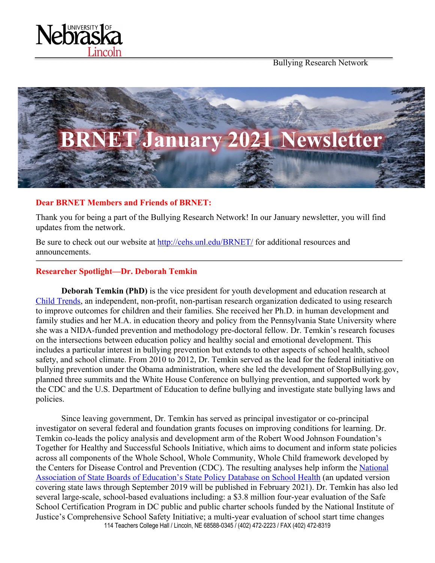

Bullying Research Network



#### **Dear BRNET Members and Friends of BRNET:**

Thank you for being a part of the Bullying Research Network! In our January newsletter, you will find updates from the network.

Be sure to check out our website at http://cehs.unl.edu/BRNET/ for additional resources and announcements.

#### **Researcher Spotlight—Dr. Deborah Temkin**

**Deborah Temkin (PhD)** is the vice president for youth development and education research at Child Trends, an independent, non-profit, non-partisan research organization dedicated to using research to improve outcomes for children and their families. She received her Ph.D. in human development and family studies and her M.A. in education theory and policy from the Pennsylvania State University where she was a NIDA-funded prevention and methodology pre-doctoral fellow. Dr. Temkin's research focuses on the intersections between education policy and healthy social and emotional development. This includes a particular interest in bullying prevention but extends to other aspects of school health, school safety, and school climate. From 2010 to 2012, Dr. Temkin served as the lead for the federal initiative on bullying prevention under the Obama administration, where she led the development of StopBullying.gov, planned three summits and the White House Conference on bullying prevention, and supported work by the CDC and the U.S. Department of Education to define bullying and investigate state bullying laws and policies.

114 Teachers College Hall / Lincoln, NE 68588-0345 / (402) 472-2223 / FAX (402) 472-8319 Since leaving government, Dr. Temkin has served as principal investigator or co-principal investigator on several federal and foundation grants focuses on improving conditions for learning. Dr. Temkin co-leads the policy analysis and development arm of the Robert Wood Johnson Foundation's Together for Healthy and Successful Schools Initiative, which aims to document and inform state policies across all components of the Whole School, Whole Community, Whole Child framework developed by the Centers for Disease Control and Prevention (CDC). The resulting analyses help inform the National Association of State Boards of Education's State Policy Database on School Health (an updated version covering state laws through September 2019 will be published in February 2021). Dr. Temkin has also led several large-scale, school-based evaluations including: a \$3.8 million four-year evaluation of the Safe School Certification Program in DC public and public charter schools funded by the National Institute of Justice's Comprehensive School Safety Initiative; a multi-year evaluation of school start time changes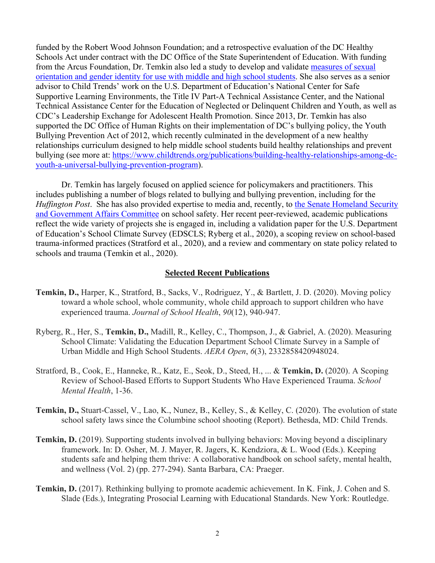funded by the Robert Wood Johnson Foundation; and a retrospective evaluation of the DC Healthy Schools Act under contract with the DC Office of the State Superintendent of Education. With funding from the Arcus Foundation, Dr. Temkin also led a study to develop and validate measures of sexual orientation and gender identity for use with middle and high school students. She also serves as a senior advisor to Child Trends' work on the U.S. Department of Education's National Center for Safe Supportive Learning Environments, the Title IV Part-A Technical Assistance Center, and the National Technical Assistance Center for the Education of Neglected or Delinquent Children and Youth, as well as CDC's Leadership Exchange for Adolescent Health Promotion. Since 2013, Dr. Temkin has also supported the DC Office of Human Rights on their implementation of DC's bullying policy, the Youth Bullying Prevention Act of 2012, which recently culminated in the development of a new healthy relationships curriculum designed to help middle school students build healthy relationships and prevent bullying (see more at: https://www.childtrends.org/publications/building-healthy-relationships-among-dcyouth-a-universal-bullying-prevention-program).

Dr. Temkin has largely focused on applied science for policymakers and practitioners. This includes publishing a number of blogs related to bullying and bullying prevention, including for the *Huffington Post.* She has also provided expertise to media and, recently, to the Senate Homeland Security and Government Affairs Committee on school safety. Her recent peer-reviewed, academic publications reflect the wide variety of projects she is engaged in, including a validation paper for the U.S. Department of Education's School Climate Survey (EDSCLS; Ryberg et al., 2020), a scoping review on school-based trauma-informed practices (Stratford et al., 2020), and a review and commentary on state policy related to schools and trauma (Temkin et al., 2020).

#### **Selected Recent Publications**

- **Temkin, D.,** Harper, K., Stratford, B., Sacks, V., Rodriguez, Y., & Bartlett, J. D. (2020). Moving policy toward a whole school, whole community, whole child approach to support children who have experienced trauma. *Journal of School Health*, *90*(12), 940-947.
- Ryberg, R., Her, S., **Temkin, D.,** Madill, R., Kelley, C., Thompson, J., & Gabriel, A. (2020). Measuring School Climate: Validating the Education Department School Climate Survey in a Sample of Urban Middle and High School Students. *AERA Open*, *6*(3), 2332858420948024.
- Stratford, B., Cook, E., Hanneke, R., Katz, E., Seok, D., Steed, H., ... & **Temkin, D.** (2020). A Scoping Review of School-Based Efforts to Support Students Who Have Experienced Trauma. *School Mental Health*, 1-36.
- **Temkin, D.,** Stuart-Cassel, V., Lao, K., Nunez, B., Kelley, S., & Kelley, C. (2020). The evolution of state school safety laws since the Columbine school shooting (Report). Bethesda, MD: Child Trends.
- **Temkin, D.** (2019). Supporting students involved in bullying behaviors: Moving beyond a disciplinary framework. In: D. Osher, M. J. Mayer, R. Jagers, K. Kendziora, & L. Wood (Eds.). Keeping students safe and helping them thrive: A collaborative handbook on school safety, mental health, and wellness (Vol. 2) (pp. 277-294). Santa Barbara, CA: Praeger.
- **Temkin, D.** (2017). Rethinking bullying to promote academic achievement. In K. Fink, J. Cohen and S. Slade (Eds.), Integrating Prosocial Learning with Educational Standards. New York: Routledge.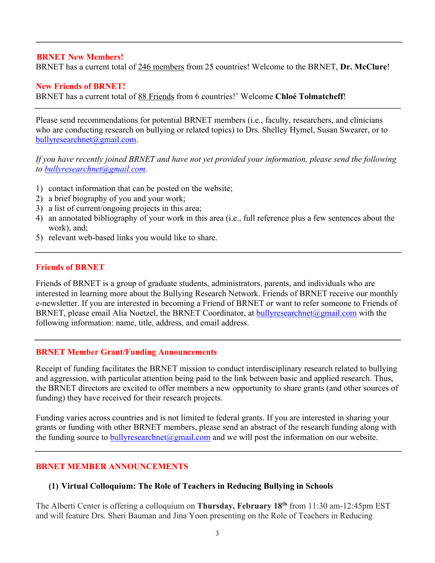## **BRNET New Members!**

BRNET has a current total of 246 members from 25 countries! Welcome to the BRNET, **Dr. McClure**!

#### **New Friends of BRNET!**

BRNET has a current total of 88 Friends from 6 countries!' Welcome **Chloé Tolmatcheff**!

Please send recommendations for potential BRNET members (i.e., faculty, researchers, and clinicians who are conducting research on bullying or related topics) to Drs. Shelley Hymel, Susan Swearer, or to bullyresearchnet@gmail.com.

*If you have recently joined BRNET and have not yet provided your information, please send the following to bullyresearchnet@gmail.com.*

- 1) contact information that can be posted on the website;
- 2) a brief biography of you and your work;
- 3) a list of current/ongoing projects in this area;
- 4) an annotated bibliography of your work in this area (i.e., full reference plus a few sentences about the work), and;
- 5) relevant web-based links you would like to share.

#### **Friends of BRNET**

Friends of BRNET is a group of graduate students, administrators, parents, and individuals who are interested in learning more about the Bullying Research Network. Friends of BRNET receive our monthly e-newsletter. If you are interested in becoming a Friend of BRNET or want to refer someone to Friends of BRNET, please email Alia Noetzel, the BRNET Coordinator, at **bullyresearchnet** $@g$ <u>mail.com</u> with the following information: name, title, address, and email address.

#### **BRNET Member Grant/Funding Announcements**

Receipt of funding facilitates the BRNET mission to conduct interdisciplinary research related to bullying and aggression, with particular attention being paid to the link between basic and applied research. Thus, the BRNET directors are excited to offer members a new opportunity to share grants (and other sources of funding) they have received for their research projects.

Funding varies across countries and is not limited to federal grants. If you are interested in sharing your grants or funding with other BRNET members, please send an abstract of the research funding along with the funding source to bully research net  $\omega$  gmail.com and we will post the information on our website.

## **BRNET MEMBER ANNOUNCEMENTS**

### **(1) Virtual Colloquium: The Role of Teachers in Reducing Bullying in Schools**

The Alberti Center is offering a colloquium on **Thursday, February 18th** from 11:30 am-12:45pm EST and will feature Drs. Sheri Bauman and Jina Yoon presenting on the Role of Teachers in Reducing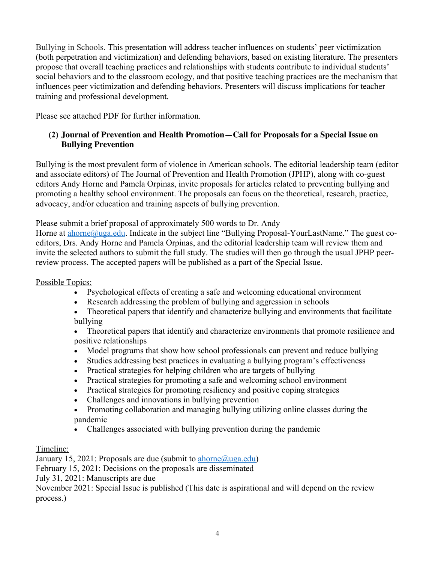Bullying in Schools. This presentation will address teacher influences on students' peer victimization (both perpetration and victimization) and defending behaviors, based on existing literature. The presenters propose that overall teaching practices and relationships with students contribute to individual students' social behaviors and to the classroom ecology, and that positive teaching practices are the mechanism that influences peer victimization and defending behaviors. Presenters will discuss implications for teacher training and professional development.

Please see attached PDF for further information.

# **(2) Journal of Prevention and Health Promotion—Call for Proposals for a Special Issue on Bullying Prevention**

Bullying is the most prevalent form of violence in American schools. The editorial leadership team (editor and associate editors) of The Journal of Prevention and Health Promotion (JPHP), along with co-guest editors Andy Horne and Pamela Orpinas, invite proposals for articles related to preventing bullying and promoting a healthy school environment. The proposals can focus on the theoretical, research, practice, advocacy, and/or education and training aspects of bullying prevention.

Please submit a brief proposal of approximately 500 words to Dr. Andy

Horne at **ahorne@uga.edu**. Indicate in the subject line "Bullying Proposal-YourLastName." The guest coeditors, Drs. Andy Horne and Pamela Orpinas, and the editorial leadership team will review them and invite the selected authors to submit the full study. The studies will then go through the usual JPHP peerreview process. The accepted papers will be published as a part of the Special Issue.

## Possible Topics:

- Psychological effects of creating a safe and welcoming educational environment
- Research addressing the problem of bullying and aggression in schools
- Theoretical papers that identify and characterize bullying and environments that facilitate bullying
- Theoretical papers that identify and characterize environments that promote resilience and positive relationships
- Model programs that show how school professionals can prevent and reduce bullying
- Studies addressing best practices in evaluating a bullying program's effectiveness
- Practical strategies for helping children who are targets of bullying
- Practical strategies for promoting a safe and welcoming school environment
- Practical strategies for promoting resiliency and positive coping strategies
- Challenges and innovations in bullying prevention
- Promoting collaboration and managing bullying utilizing online classes during the pandemic
- Challenges associated with bullying prevention during the pandemic

Timeline:

January 15, 2021: Proposals are due (submit to ahorne@uga.edu)

February 15, 2021: Decisions on the proposals are disseminated

July 31, 2021: Manuscripts are due

November 2021: Special Issue is published (This date is aspirational and will depend on the review process.)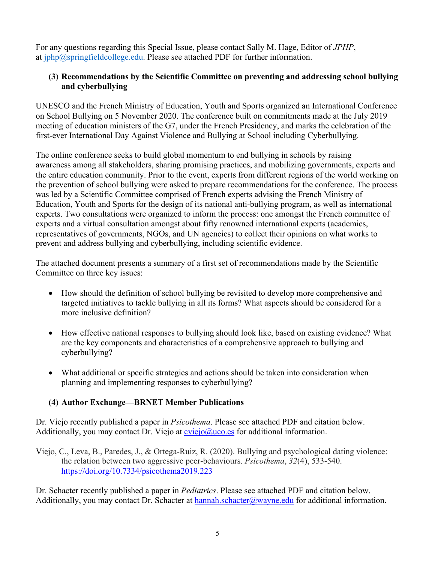For any questions regarding this Special Issue, please contact Sally M. Hage, Editor of *JPHP*, at  $iphp@springfield college.edu$ . Please see attached PDF for further information.

# **(3) Recommendations by the Scientific Committee on preventing and addressing school bullying and cyberbullying**

UNESCO and the French Ministry of Education, Youth and Sports organized an International Conference on School Bullying on 5 November 2020. The conference built on commitments made at the July 2019 meeting of education ministers of the G7, under the French Presidency, and marks the celebration of the first-ever International Day Against Violence and Bullying at School including Cyberbullying.

The online conference seeks to build global momentum to end bullying in schools by raising awareness among all stakeholders, sharing promising practices, and mobilizing governments, experts and the entire education community. Prior to the event, experts from different regions of the world working on the prevention of school bullying were asked to prepare recommendations for the conference. The process was led by a Scientific Committee comprised of French experts advising the French Ministry of Education, Youth and Sports for the design of its national anti-bullying program, as well as international experts. Two consultations were organized to inform the process: one amongst the French committee of experts and a virtual consultation amongst about fifty renowned international experts (academics, representatives of governments, NGOs, and UN agencies) to collect their opinions on what works to prevent and address bullying and cyberbullying, including scientific evidence.

The attached document presents a summary of a first set of recommendations made by the Scientific Committee on three key issues:

- How should the definition of school bullying be revisited to develop more comprehensive and targeted initiatives to tackle bullying in all its forms? What aspects should be considered for a more inclusive definition?
- How effective national responses to bullying should look like, based on existing evidence? What are the key components and characteristics of a comprehensive approach to bullying and cyberbullying?
- What additional or specific strategies and actions should be taken into consideration when planning and implementing responses to cyberbullying?

# **(4) Author Exchange—BRNET Member Publications**

Dr. Viejo recently published a paper in *Psicothema*. Please see attached PDF and citation below. Additionally, you may contact Dr. Viejo at  $\overline{c}$  viejo $\overline{a}$  uco.es for additional information.

Viejo, C., Leva, B., Paredes, J., & Ortega-Ruiz, R. (2020). Bullying and psychological dating violence: the relation between two aggressive peer-behaviours. *Psicothema*, *32*(4), 533-540. https://doi.org/10.7334/psicothema2019.223

Dr. Schacter recently published a paper in *Pediatrics*. Please see attached PDF and citation below. Additionally, you may contact Dr. Schacter at hannah.schacter@wayne.edu for additional information.